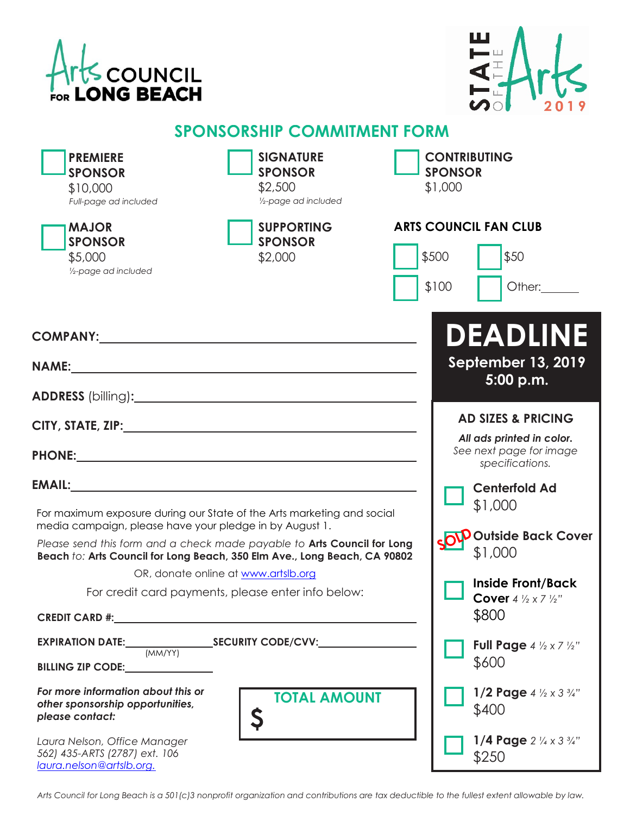



## **SPONSORSHIP COMMITMENT FORM**

| <b>PREMIERE</b><br><b>SPONSOR</b><br>\$10,000<br>Full-page ad included                                                                                                                                                                                                                                                                                                                                                                                                                              | <b>SIGNATURE</b><br><b>SPONSOR</b><br>\$2,500<br>1/2-page ad included                                                 | <b>CONTRIBUTING</b><br><b>SPONSOR</b><br>\$1,000                                                                                                                                                                                                                          |
|-----------------------------------------------------------------------------------------------------------------------------------------------------------------------------------------------------------------------------------------------------------------------------------------------------------------------------------------------------------------------------------------------------------------------------------------------------------------------------------------------------|-----------------------------------------------------------------------------------------------------------------------|---------------------------------------------------------------------------------------------------------------------------------------------------------------------------------------------------------------------------------------------------------------------------|
| <b>MAJOR</b><br><b>SPONSOR</b><br>\$5,000<br>1/2-page ad included                                                                                                                                                                                                                                                                                                                                                                                                                                   | <b>SUPPORTING</b><br><b>SPONSOR</b><br>\$2,000                                                                        | <b>ARTS COUNCIL FAN CLUB</b><br>\$500<br>\$50<br>\$100<br>Other:                                                                                                                                                                                                          |
| COMPANY: Network of the COMPANY:<br><b>NAME:</b><br>ADDRESS (billing): ADDRESS (billing):                                                                                                                                                                                                                                                                                                                                                                                                           | <u> 1989 - Johann Stoff, deutscher Stoff, der Stoff, der Stoff, der Stoff, der Stoff, der Stoff, der Stoff, der S</u> | DEADLINE<br><b>September 13, 2019</b><br>5:00 p.m.                                                                                                                                                                                                                        |
| For maximum exposure during our State of the Arts marketing and social<br>media campaign, please have your pledge in by August 1.<br>Please send this form and a check made payable to Arts Council for Long<br>Beach to: Arts Council for Long Beach, 350 Elm Ave., Long Beach, CA 90802                                                                                                                                                                                                           | OR, donate online at www.artslb.org<br>For credit card payments, please enter info below:                             | <b>AD SIZES &amp; PRICING</b><br>All ads printed in color.<br>See next page for image<br>specifications.<br><b>Centerfold Ad</b><br>\$1,000<br><b>OV</b> Outside Back Cover<br>\$1,000<br><b>Inside Front/Back</b><br><b>Cover</b> 4 $\frac{1}{2} \times 7 \frac{1}{2}$ " |
| CREDIT CARD #: New York State State State State State State State State State State State State State State State State State State State State State State State State State State State State State State State State State<br>EXPIRATION DATE: SECURITY CODE/CVV:<br>(MM/YY)<br>BILLING ZIP CODE: 2000<br>For more information about this or<br>other sponsorship opportunities,<br>please contact:<br>Laura Nelson, Office Manager<br>562) 435-ARTS (2787) ext. 106<br>laura.nelson@artslb.org. | <b>TOTAL AMOUNT</b>                                                                                                   | \$800<br>Full Page $4 \frac{1}{2} \times 7 \frac{1}{2}$ "<br>\$600<br>1/2 Page $4\frac{1}{2} \times 3\frac{3}{4}$ "<br>\$400<br>1/4 Page $2\frac{1}{4} \times 3\frac{3}{4}$ "<br>\$250                                                                                    |

*Arts Council for Long Beach is a 501(c)3 nonprofit organization and contributions are tax deductible to the fullest extent allowable by law.*